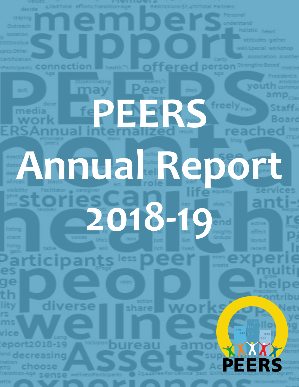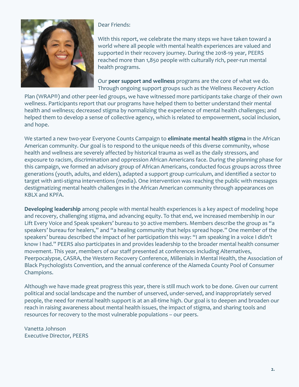

Dear Friends:

With this report, we celebrate the many steps we have taken toward a world where all people with mental health experiences are valued and supported in their recovery journey. During the 2018-19 year, PEERS reached more than 1,850 people with culturally rich, peer-run mental health programs.

Our **peer support and wellness** programs are the core of what we do. Through ongoing support groups such as the Wellness Recovery Action

Plan (WRAP®) and other peer-led groups, we have witnessed more participants take charge of their own wellness. Participants report that our programs have helped them to better understand their mental health and wellness; decreased stigma by normalizing the experience of mental health challenges; and helped them to develop a sense of collective agency, which is related to empowerment, social inclusion, and hope.

We started a new two-year Everyone Counts Campaign to **eliminate mental health stigma** in the African American community. Our goal is to respond to the unique needs of this diverse community, whose health and wellness are severely affected by historical trauma as well as the daily stressors, and exposure to racism, discrimination and oppression African Americans face. During the planning phase for this campaign, we formed an advisory group of African Americans, conducted focus groups across three generations (youth, adults, and elders), adapted a support group curriculum, and identified a sector to target with anti-stigma interventions (media). One intervention was reaching the public with messages destigmatizing mental health challenges in the African American community through appearances on KBLX and KPFA.

**Developing leadership** among people with mental health experiences is a key aspect of modeling hope and recovery, challenging stigma, and advancing equity. To that end, we increased membership in our Lift Every Voice and Speak speakers' bureau to 30 active members. Members describe the group as "a speakers' bureau for healers," and "a healing community that helps spread hope." One member of the speakers' bureau described the impact of her participation this way: "I am speaking in a voice I didn't know I had." PEERS also participates in and provides leadership to the broader mental health consumer movement. This year, members of our staff presented at conferences including Alternatives, Peerpocalypse, CASRA, the Western Recovery Conference, Millenials in Mental Health, the Association of Black Psychologists Convention, and the annual conference of the Alameda County Pool of Consumer Champions.

Although we have made great progress this year, there is still much work to be done. Given our current political and social landscape and the number of unserved, under-served, and inappropriately served people, the need for mental health support is at an all-time high. Our goal is to deepen and broaden our reach in raising awareness about mental health issues, the impact of stigma, and sharing tools and resources for recovery to the most vulnerable populations – our peers.

Vanetta Johnson Executive Director, PEERS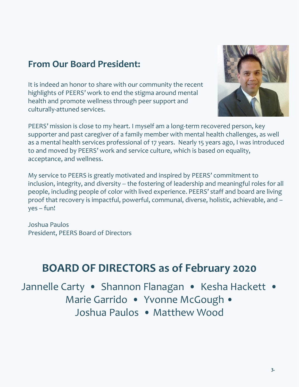#### **From Our Board President:**

It is indeed an honor to share with our community the recent highlights of PEERS' work to end the stigma around mental health and promote wellness through peer support and culturally-attuned services.



PEERS' mission is close to my heart. I myself am a long-term recovered person, key supporter and past caregiver of a family member with mental health challenges, as well as a mental health services professional of 17 years. Nearly 15 years ago, I was introduced to and moved by PEERS' work and service culture, which is based on equality, acceptance, and wellness.

My service to PEERS is greatly motivated and inspired by PEERS' commitment to inclusion, integrity, and diversity -- the fostering of leadership and meaningful roles for all people, including people of color with lived experience. PEERS' staff and board are living proof that recovery is impactful, powerful, communal, diverse, holistic, achievable, and – yes – fun!

Joshua Paulos President, PEERS Board of Directors

### **BOARD OF DIRECTORS as of February 2020**

Jannelle Carty • Shannon Flanagan • Kesha Hackett • Marie Garrido · Yvonne McGough · Joshua Paulos • Matthew Wood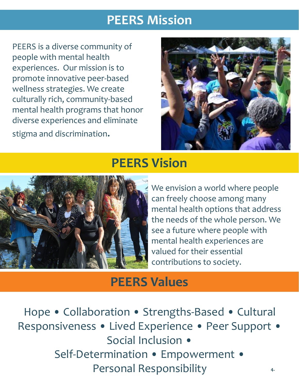### **PEERS Mission**

PEERS is a diverse community of people with mental health experiences. Our mission is to promote innovative peer-based wellness strategies. We create culturally rich, community-based mental health programs that honor diverse experiences and eliminate stigma and discrimination.



### **PEERS Vision**



We envision a world where people can freely choose among many mental health options that address the needs of the whole person. We see a future where people with mental health experiences are valued for their essential contributions to society.

### **PEERS Values**

Hope • Collaboration • Strengths-Based • Cultural Responsiveness • Lived Experience • Peer Support • Social Inclusion • Self-Determination • Empowerment • Personal Responsibility **4.**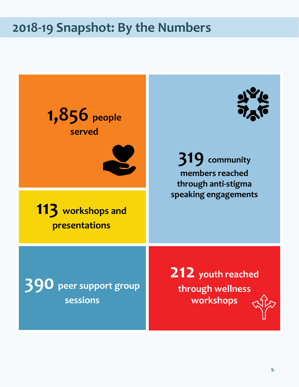### **2018-19 Snapshot: By the Numbers**

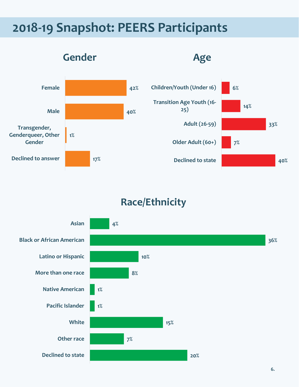### **2018-19 Snapshot: PEERS Participants**



### **Race/Ethnicity**

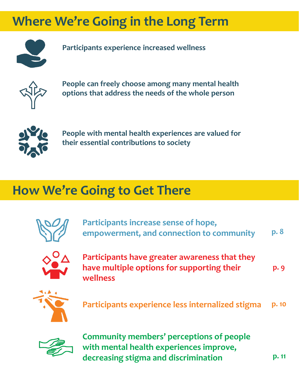### **Where We're Going in the Long Term**



**Participants experience increased wellness**



**People can freely choose among many mental health options that address the needs of the whole person**



**People with mental health experiences are valued for their essential contributions to society**

### **How We're Going to Get There**



**Participants increase sense of hope, empowerment, and connection to community p. 8**



**Participants have greater awareness that they have multiple options for supporting their wellness**



**Participants experience less internalized stigma p. 10**



**Community members' perceptions of people with mental health experiences improve, decreasing stigma and discrimination**

**p. 11**

**p. 9**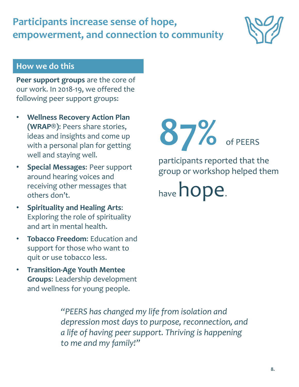*"PEERS has changed my life from isolation and depression most days to purpose, reconnection, and a life of having peer support. Thriving is happening to me and my family!"*

**Participants increase sense of hope, empowerment, and connection to community**

#### **How we do this**

**Peer support groups** are the core of our work. In 2018-19, we offered the following peer support groups:

- **Wellness Recovery Action Plan (WRAP®)**: Peers share stories, ideas and insights and come up with a personal plan for getting well and staying well.
- **Special Messages**: Peer support around hearing voices and receiving other messages that others don't.
- **Spirituality and Healing Arts**: Exploring the role of spirituality and art in mental health.
- **Tobacco Freedom**: Education and support for those who want to quit or use tobacco less.
- **Transition-Age Youth Mentee Groups**: Leadership development and wellness for young people.

**87%** of PEERS

participants reported that the group or workshop helped them

have **hope**.

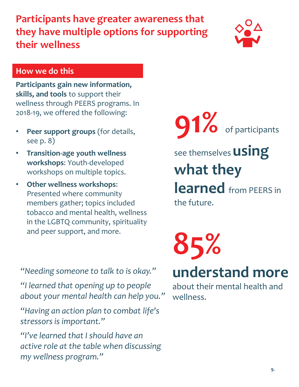### **Participants have greater awareness that they have multiple options for supporting their wellness**



#### **How we do this**

**Participants gain new information, skills, and tools** to support their wellness through PEERS programs. In 2018-19, we offered the following:

- **Peer support groups** (for details, see p. 8)
- **Transition-age youth wellness workshops**: Youth-developed workshops on multiple topics.
- **Other wellness workshops**: Presented where community members gather; topics included tobacco and mental health, wellness in the LGBTQ community, spirituality and peer support, and more.

**91%** of participants

see themselves **using what they learned** from PEERS in the future.

*"Needing someone to talk to is okay."*

*"I learned that opening up to people about your mental health can help you."*

*"Having an action plan to combat life's stressors is important."*

*"I've learned that I should have an active role at the table when discussing my wellness program."*

## **85% understand more**

about their mental health and wellness.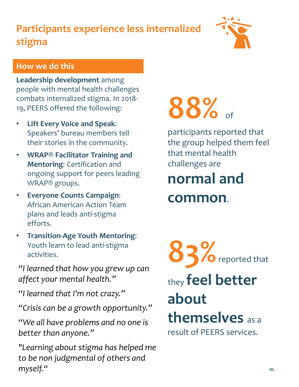### **Participants experience less internalized stigma**



#### **How we do this**

**Leadership development** among people with mental health challenges combats internalized stigma. In 2018- 19, PEERS offered the following:

- **Lift Every Voice and Speak**: Speakers' bureau members tell their stories in the community.
- **WRAP® Facilitator Training and Mentoring**: Certification and ongoing support for peers leading WRAP® groups.
- **Everyone Counts Campaign**: African American Action Team plans and leads anti-stigma efforts.
- **Transition-Age Youth Mentoring**: Youth learn to lead anti-stigma activities.

*"I learned that how you grew up can affect your mental health."*

*"I learned that I'm not crazy."*

*"Crisis can be a growth opportunity."*

*"We all have problems and no one is better than anyone."*

*"Learning about stigma has helped me to be non judgmental of others and myself."* **10.**

# **88%** of

participants reported that the group helped them feel that mental health challenges are

### **normal and common**.



they **feel better about themselves** as a

result of PEERS services.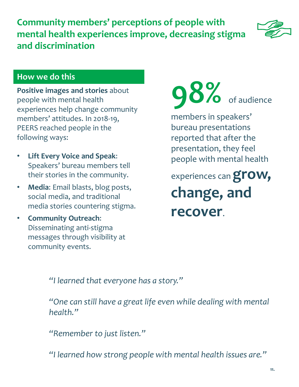**Community members' perceptions of people with mental health experiences improve, decreasing stigma and discrimination**



#### **How we do this**

**Positive images and stories** about people with mental health experiences help change community members' attitudes. In 2018-19, PEERS reached people in the following ways:

- **Lift Every Voice and Speak**: Speakers' bureau members tell their stories in the community.
- **Media**: Email blasts, blog posts, social media, and traditional media stories countering stigma.
- **Community Outreach**: Disseminating anti-stigma messages through visibility at community events.

**98%** of audience

members in speakers' bureau presentations reported that after the presentation, they feel people with mental health

experiences can **grow, change, and recover**.

*"I learned that everyone has a story."*

*"One can still have a great life even while dealing with mental health."*

*"Remember to just listen."*

*"I learned how strong people with mental health issues are."*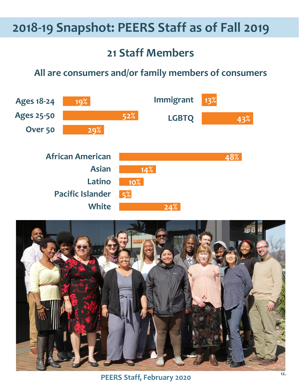### **2018-19 Snapshot: PEERS Staff as of Fall 2019**

### **21 Staff Members**

#### **All are consumers and/or family members of consumers**



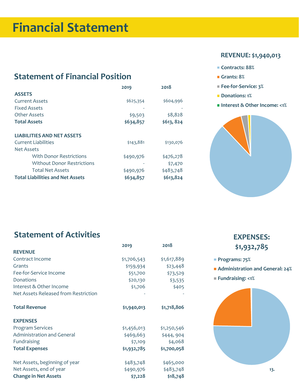### **Financial Statement**

#### **Statement of Financial Position**

|                                         | 2019      | 2018      |
|-----------------------------------------|-----------|-----------|
| <b>ASSETS</b>                           |           |           |
| <b>Current Assets</b>                   | \$625,354 | \$604,996 |
| <b>Fixed Assets</b>                     |           |           |
| Other Assets                            | \$9,503   | \$8,828   |
| <b>Total Assets</b>                     | \$634,857 | \$613,824 |
|                                         |           |           |
| <b>LIABILITIES AND NET ASSETS</b>       |           |           |
| Current Liabilities                     | \$143,881 | \$130,076 |
| Net Assets                              |           |           |
| With Donor Restrictions                 | \$490,976 | \$476,278 |
| <b>Without Donor Restrictions</b>       |           | \$7,470   |
| <b>Total Net Assets</b>                 | \$490,976 | \$483,748 |
| <b>Total Liabilities and Net Assets</b> | \$634,857 | \$613,824 |

#### **REVENUE: \$1,940,013**

- **Contracts: 88%**
- **Grants: 8%**
- **Fee-for-Service: 3%**
- **Donations: 1%**
- **Interest & Other Income: <1%**



#### **Statement of Activities**

|                                      | 2019        | 2018        |  |
|--------------------------------------|-------------|-------------|--|
| <b>REVENUE</b>                       |             |             |  |
| Contract Income                      | \$1,706,543 | \$1,617,889 |  |
| Grants                               | \$159,934   | \$23,448    |  |
| Fee-for-Service Income               | \$51,700    | \$73,529    |  |
| Donations                            | \$20,130    | \$3,535     |  |
| Interest & Other Income              | \$1,706     | \$405       |  |
| Net Assets Released from Restriction |             |             |  |
| <b>Total Revenue</b>                 | \$1,940,013 | \$1,718,806 |  |
| <b>EXPENSES</b>                      |             |             |  |
| <b>Program Services</b>              | \$1,456,013 | \$1,250,546 |  |
| <b>Administration and General</b>    | \$469,663   | \$444,904   |  |
| Fundraising                          | \$7,109     | \$4,068     |  |
| <b>Total Expenses</b>                | \$1,932,785 | \$1,700,058 |  |
| Net Assets, beginning of year        | \$483,748   | \$465,000   |  |
| Net Assets, end of year              | \$490,976   | \$483,748   |  |
| <b>Change in Net Assets</b>          | \$7,228     | \$18,748    |  |

#### **EXPENSES: \$1,932,785**

- **Programs: 75%**
- **Administration and General: 24%**
- **Fundraising: <1%**